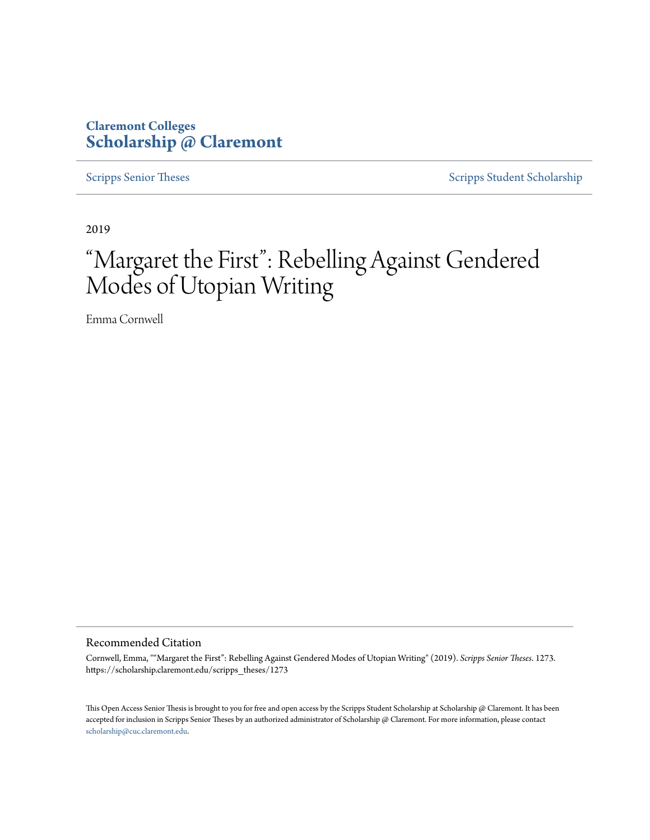### **Claremont Colleges [Scholarship @ Claremont](https://scholarship.claremont.edu)**

[Scripps Senior Theses](https://scholarship.claremont.edu/scripps_theses) [Scripps Student Scholarship](https://scholarship.claremont.edu/scripps_student)

2019

# "Margaret the First": Rebelling Against Gendered Modes of Utopian Writing

Emma Cornwell

Recommended Citation

Cornwell, Emma, ""Margaret the First": Rebelling Against Gendered Modes of Utopian Writing" (2019). *Scripps Senior Theses*. 1273. https://scholarship.claremont.edu/scripps\_theses/1273

This Open Access Senior Thesis is brought to you for free and open access by the Scripps Student Scholarship at Scholarship @ Claremont. It has been accepted for inclusion in Scripps Senior Theses by an authorized administrator of Scholarship @ Claremont. For more information, please contact [scholarship@cuc.claremont.edu.](mailto:scholarship@cuc.claremont.edu)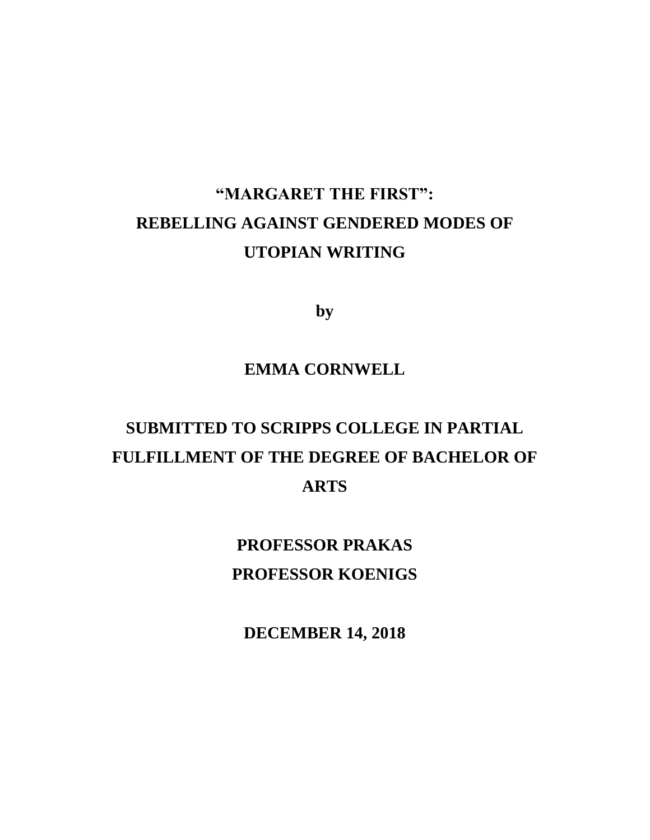## **"MARGARET THE FIRST": REBELLING AGAINST GENDERED MODES OF UTOPIAN WRITING**

**by**

### **EMMA CORNWELL**

## **SUBMITTED TO SCRIPPS COLLEGE IN PARTIAL FULFILLMENT OF THE DEGREE OF BACHELOR OF ARTS**

**PROFESSOR PRAKAS PROFESSOR KOENIGS**

**DECEMBER 14, 2018**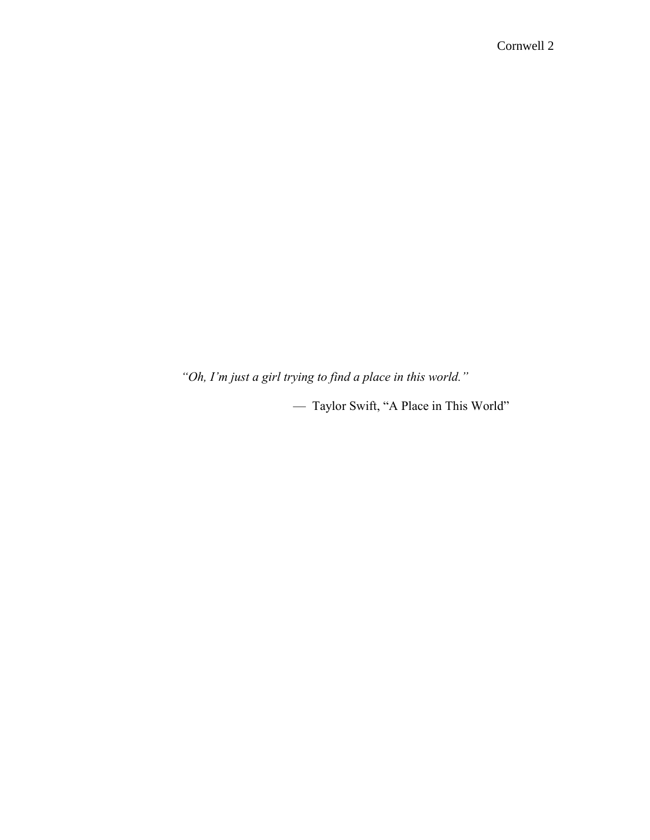*"Oh, I'm just a girl trying to find a place in this world."*

— Taylor Swift, "A Place in This World"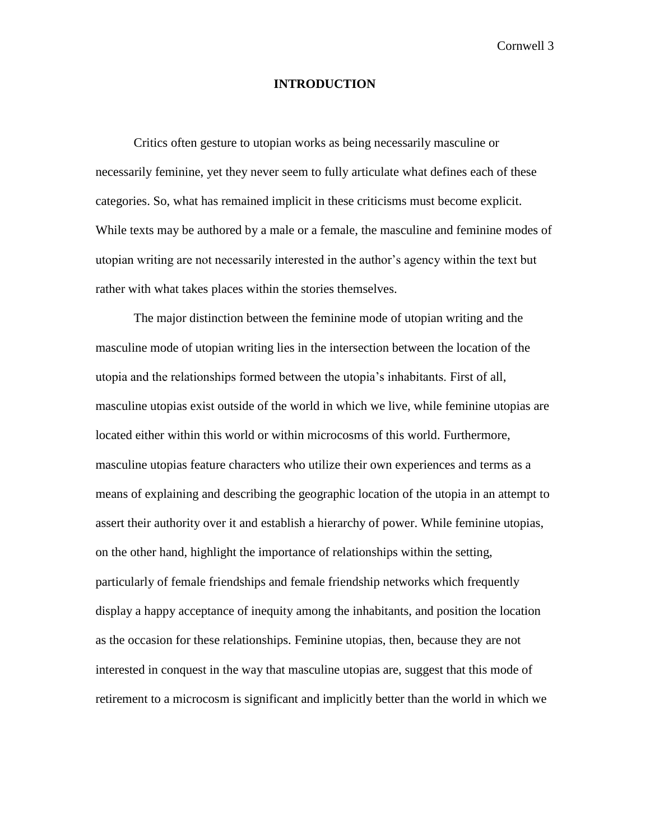#### **INTRODUCTION**

Critics often gesture to utopian works as being necessarily masculine or necessarily feminine, yet they never seem to fully articulate what defines each of these categories. So, what has remained implicit in these criticisms must become explicit. While texts may be authored by a male or a female, the masculine and feminine modes of utopian writing are not necessarily interested in the author's agency within the text but rather with what takes places within the stories themselves.

The major distinction between the feminine mode of utopian writing and the masculine mode of utopian writing lies in the intersection between the location of the utopia and the relationships formed between the utopia's inhabitants. First of all, masculine utopias exist outside of the world in which we live, while feminine utopias are located either within this world or within microcosms of this world. Furthermore, masculine utopias feature characters who utilize their own experiences and terms as a means of explaining and describing the geographic location of the utopia in an attempt to assert their authority over it and establish a hierarchy of power. While feminine utopias, on the other hand, highlight the importance of relationships within the setting, particularly of female friendships and female friendship networks which frequently display a happy acceptance of inequity among the inhabitants, and position the location as the occasion for these relationships. Feminine utopias, then, because they are not interested in conquest in the way that masculine utopias are, suggest that this mode of retirement to a microcosm is significant and implicitly better than the world in which we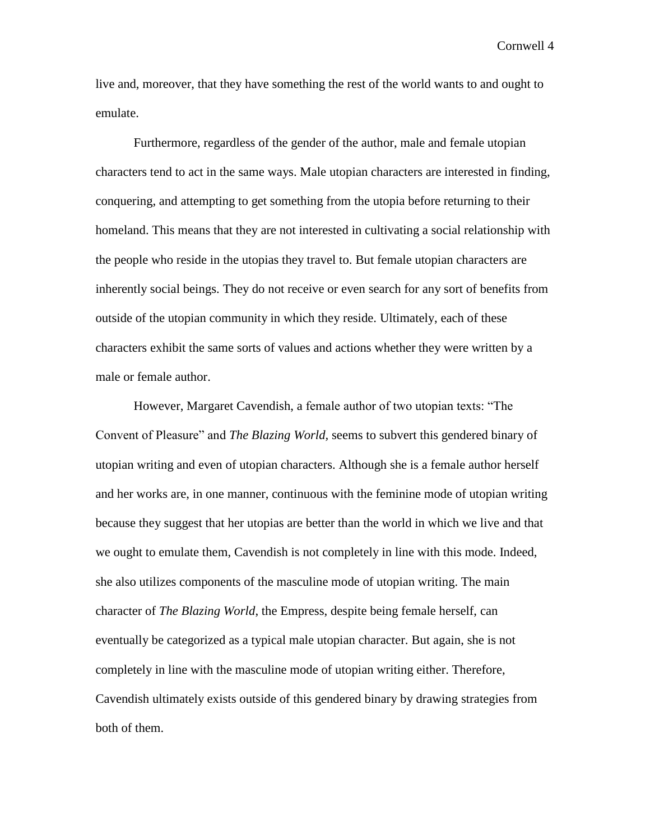live and, moreover, that they have something the rest of the world wants to and ought to emulate.

Furthermore, regardless of the gender of the author, male and female utopian characters tend to act in the same ways. Male utopian characters are interested in finding, conquering, and attempting to get something from the utopia before returning to their homeland. This means that they are not interested in cultivating a social relationship with the people who reside in the utopias they travel to. But female utopian characters are inherently social beings. They do not receive or even search for any sort of benefits from outside of the utopian community in which they reside. Ultimately, each of these characters exhibit the same sorts of values and actions whether they were written by a male or female author.

However, Margaret Cavendish, a female author of two utopian texts: "The Convent of Pleasure" and *The Blazing World,* seems to subvert this gendered binary of utopian writing and even of utopian characters. Although she is a female author herself and her works are, in one manner, continuous with the feminine mode of utopian writing because they suggest that her utopias are better than the world in which we live and that we ought to emulate them, Cavendish is not completely in line with this mode. Indeed, she also utilizes components of the masculine mode of utopian writing. The main character of *The Blazing World*, the Empress, despite being female herself, can eventually be categorized as a typical male utopian character. But again, she is not completely in line with the masculine mode of utopian writing either. Therefore, Cavendish ultimately exists outside of this gendered binary by drawing strategies from both of them.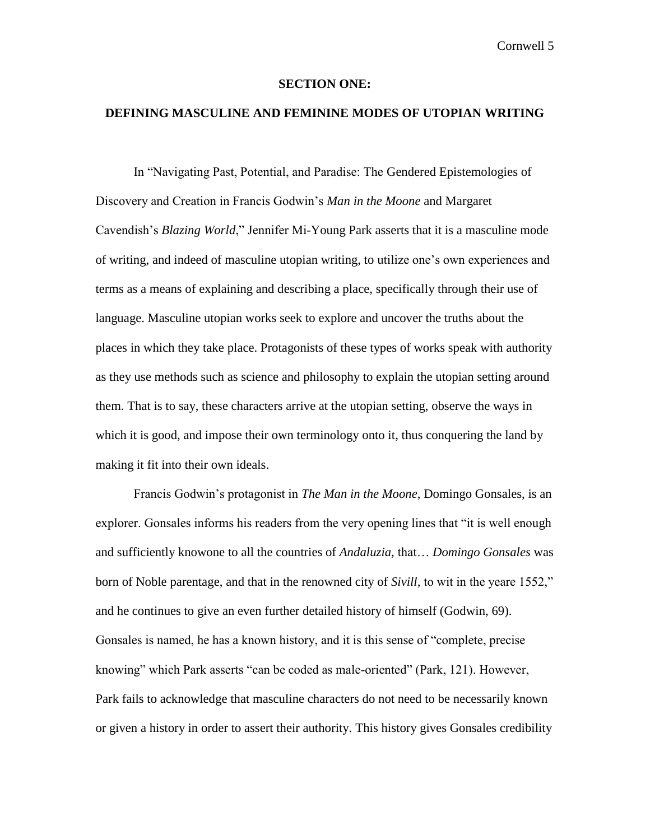#### **SECTION ONE:**

#### **DEFINING MASCULINE AND FEMININE MODES OF UTOPIAN WRITING**

In "Navigating Past, Potential, and Paradise: The Gendered Epistemologies of Discovery and Creation in Francis Godwin's *Man in the Moone* and Margaret Cavendish's *Blazing World*," Jennifer Mi-Young Park asserts that it is a masculine mode of writing, and indeed of masculine utopian writing, to utilize one's own experiences and terms as a means of explaining and describing a place, specifically through their use of language. Masculine utopian works seek to explore and uncover the truths about the places in which they take place. Protagonists of these types of works speak with authority as they use methods such as science and philosophy to explain the utopian setting around them. That is to say, these characters arrive at the utopian setting, observe the ways in which it is good, and impose their own terminology onto it, thus conquering the land by making it fit into their own ideals.

Francis Godwin's protagonist in *The Man in the Moone*, Domingo Gonsales, is an explorer. Gonsales informs his readers from the very opening lines that "it is well enough and sufficiently knowone to all the countries of *Andaluzia,* that… *Domingo Gonsales* was born of Noble parentage, and that in the renowned city of *Sivill,* to wit in the yeare 1552," and he continues to give an even further detailed history of himself (Godwin, 69). Gonsales is named, he has a known history, and it is this sense of "complete, precise knowing" which Park asserts "can be coded as male-oriented" (Park, 121). However, Park fails to acknowledge that masculine characters do not need to be necessarily known or given a history in order to assert their authority. This history gives Gonsales credibility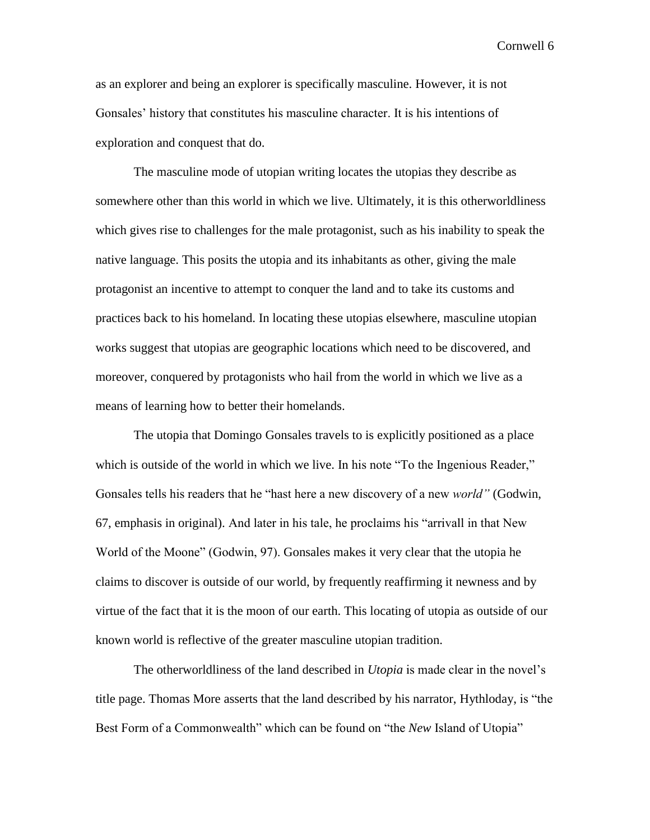as an explorer and being an explorer is specifically masculine. However, it is not Gonsales' history that constitutes his masculine character. It is his intentions of exploration and conquest that do.

The masculine mode of utopian writing locates the utopias they describe as somewhere other than this world in which we live. Ultimately, it is this otherworldliness which gives rise to challenges for the male protagonist, such as his inability to speak the native language. This posits the utopia and its inhabitants as other, giving the male protagonist an incentive to attempt to conquer the land and to take its customs and practices back to his homeland. In locating these utopias elsewhere, masculine utopian works suggest that utopias are geographic locations which need to be discovered, and moreover, conquered by protagonists who hail from the world in which we live as a means of learning how to better their homelands.

The utopia that Domingo Gonsales travels to is explicitly positioned as a place which is outside of the world in which we live. In his note "To the Ingenious Reader," Gonsales tells his readers that he "hast here a new discovery of a new *world"* (Godwin, 67, emphasis in original). And later in his tale, he proclaims his "arrivall in that New World of the Moone" (Godwin, 97). Gonsales makes it very clear that the utopia he claims to discover is outside of our world, by frequently reaffirming it newness and by virtue of the fact that it is the moon of our earth. This locating of utopia as outside of our known world is reflective of the greater masculine utopian tradition.

The otherworldliness of the land described in *Utopia* is made clear in the novel's title page. Thomas More asserts that the land described by his narrator, Hythloday, is "the Best Form of a Commonwealth" which can be found on "the *New* Island of Utopia"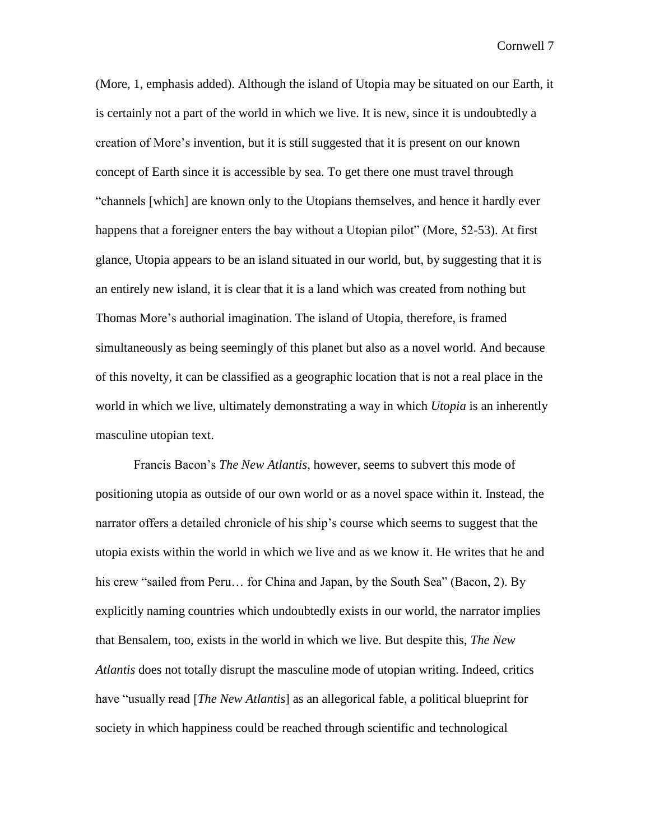(More, 1, emphasis added). Although the island of Utopia may be situated on our Earth, it is certainly not a part of the world in which we live. It is new, since it is undoubtedly a creation of More's invention, but it is still suggested that it is present on our known concept of Earth since it is accessible by sea. To get there one must travel through "channels [which] are known only to the Utopians themselves, and hence it hardly ever happens that a foreigner enters the bay without a Utopian pilot" (More, 52-53). At first glance, Utopia appears to be an island situated in our world, but, by suggesting that it is an entirely new island, it is clear that it is a land which was created from nothing but Thomas More's authorial imagination. The island of Utopia, therefore, is framed simultaneously as being seemingly of this planet but also as a novel world. And because of this novelty, it can be classified as a geographic location that is not a real place in the world in which we live, ultimately demonstrating a way in which *Utopia* is an inherently masculine utopian text.

Francis Bacon's *The New Atlantis*, however, seems to subvert this mode of positioning utopia as outside of our own world or as a novel space within it. Instead, the narrator offers a detailed chronicle of his ship's course which seems to suggest that the utopia exists within the world in which we live and as we know it. He writes that he and his crew "sailed from Peru... for China and Japan, by the South Sea" (Bacon, 2). By explicitly naming countries which undoubtedly exists in our world, the narrator implies that Bensalem, too, exists in the world in which we live. But despite this, *The New Atlantis* does not totally disrupt the masculine mode of utopian writing. Indeed, critics have "usually read [*The New Atlantis*] as an allegorical fable, a political blueprint for society in which happiness could be reached through scientific and technological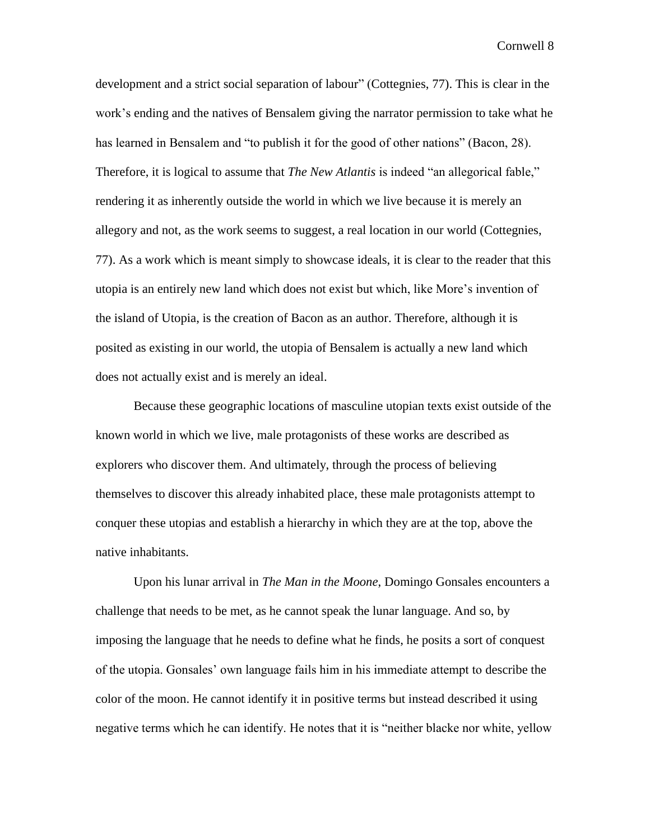development and a strict social separation of labour" (Cottegnies, 77). This is clear in the work's ending and the natives of Bensalem giving the narrator permission to take what he has learned in Bensalem and "to publish it for the good of other nations" (Bacon, 28). Therefore, it is logical to assume that *The New Atlantis* is indeed "an allegorical fable," rendering it as inherently outside the world in which we live because it is merely an allegory and not, as the work seems to suggest, a real location in our world (Cottegnies, 77). As a work which is meant simply to showcase ideals, it is clear to the reader that this utopia is an entirely new land which does not exist but which, like More's invention of the island of Utopia, is the creation of Bacon as an author. Therefore, although it is posited as existing in our world, the utopia of Bensalem is actually a new land which does not actually exist and is merely an ideal.

Because these geographic locations of masculine utopian texts exist outside of the known world in which we live, male protagonists of these works are described as explorers who discover them. And ultimately, through the process of believing themselves to discover this already inhabited place, these male protagonists attempt to conquer these utopias and establish a hierarchy in which they are at the top, above the native inhabitants.

Upon his lunar arrival in *The Man in the Moone*, Domingo Gonsales encounters a challenge that needs to be met, as he cannot speak the lunar language. And so, by imposing the language that he needs to define what he finds, he posits a sort of conquest of the utopia. Gonsales' own language fails him in his immediate attempt to describe the color of the moon. He cannot identify it in positive terms but instead described it using negative terms which he can identify. He notes that it is "neither blacke nor white, yellow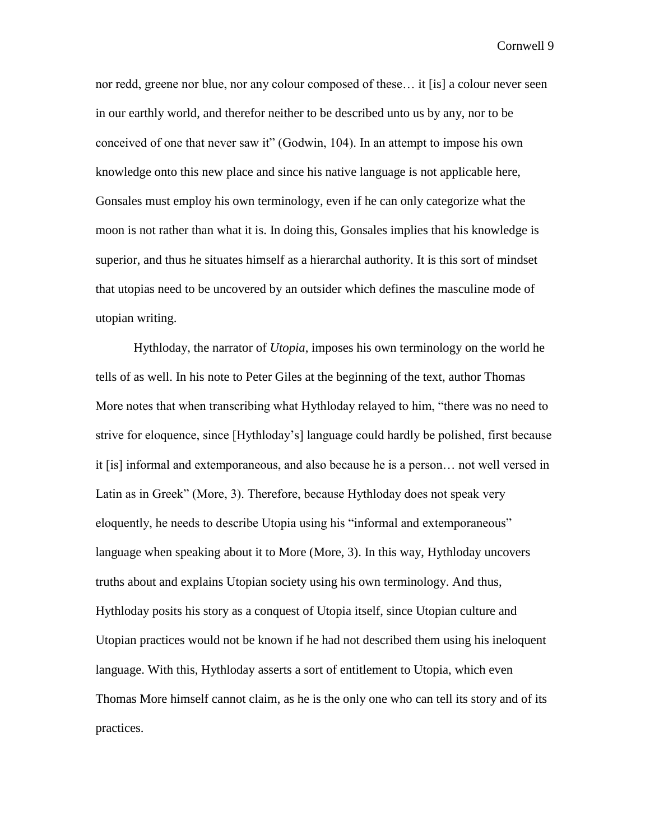nor redd, greene nor blue, nor any colour composed of these… it [is] a colour never seen in our earthly world, and therefor neither to be described unto us by any, nor to be conceived of one that never saw it" (Godwin, 104). In an attempt to impose his own knowledge onto this new place and since his native language is not applicable here, Gonsales must employ his own terminology, even if he can only categorize what the moon is not rather than what it is. In doing this, Gonsales implies that his knowledge is superior, and thus he situates himself as a hierarchal authority. It is this sort of mindset that utopias need to be uncovered by an outsider which defines the masculine mode of utopian writing.

Hythloday, the narrator of *Utopia*, imposes his own terminology on the world he tells of as well. In his note to Peter Giles at the beginning of the text, author Thomas More notes that when transcribing what Hythloday relayed to him, "there was no need to strive for eloquence, since [Hythloday's] language could hardly be polished, first because it [is] informal and extemporaneous, and also because he is a person… not well versed in Latin as in Greek" (More, 3). Therefore, because Hythloday does not speak very eloquently, he needs to describe Utopia using his "informal and extemporaneous" language when speaking about it to More (More, 3). In this way, Hythloday uncovers truths about and explains Utopian society using his own terminology. And thus, Hythloday posits his story as a conquest of Utopia itself, since Utopian culture and Utopian practices would not be known if he had not described them using his ineloquent language. With this, Hythloday asserts a sort of entitlement to Utopia, which even Thomas More himself cannot claim, as he is the only one who can tell its story and of its practices.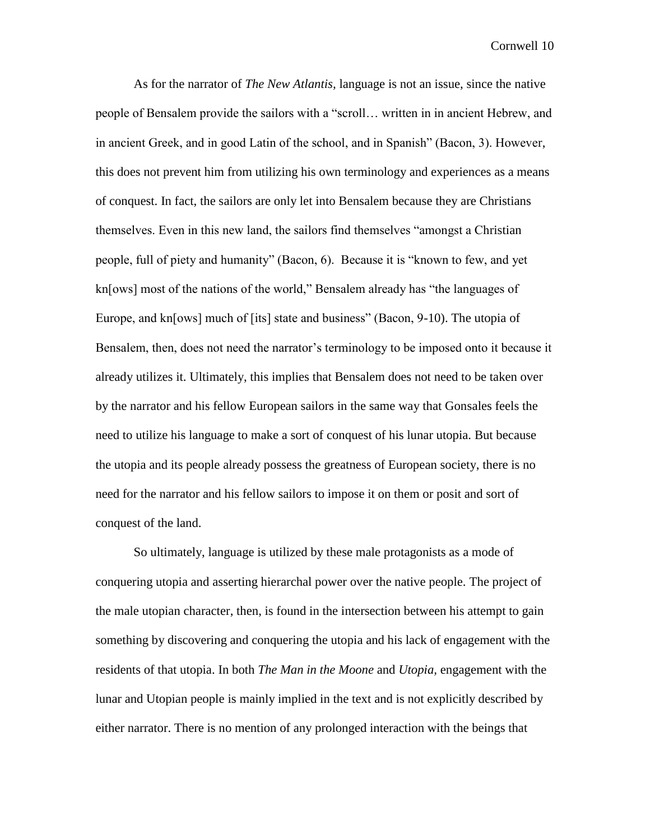As for the narrator of *The New Atlantis,* language is not an issue, since the native people of Bensalem provide the sailors with a "scroll… written in in ancient Hebrew, and in ancient Greek, and in good Latin of the school, and in Spanish" (Bacon, 3). However, this does not prevent him from utilizing his own terminology and experiences as a means of conquest. In fact, the sailors are only let into Bensalem because they are Christians themselves. Even in this new land, the sailors find themselves "amongst a Christian people, full of piety and humanity" (Bacon, 6). Because it is "known to few, and yet kn[ows] most of the nations of the world," Bensalem already has "the languages of Europe, and kn[ows] much of [its] state and business" (Bacon, 9-10). The utopia of Bensalem, then, does not need the narrator's terminology to be imposed onto it because it already utilizes it. Ultimately, this implies that Bensalem does not need to be taken over by the narrator and his fellow European sailors in the same way that Gonsales feels the need to utilize his language to make a sort of conquest of his lunar utopia. But because the utopia and its people already possess the greatness of European society, there is no need for the narrator and his fellow sailors to impose it on them or posit and sort of conquest of the land.

So ultimately, language is utilized by these male protagonists as a mode of conquering utopia and asserting hierarchal power over the native people. The project of the male utopian character, then, is found in the intersection between his attempt to gain something by discovering and conquering the utopia and his lack of engagement with the residents of that utopia. In both *The Man in the Moone* and *Utopia,* engagement with the lunar and Utopian people is mainly implied in the text and is not explicitly described by either narrator. There is no mention of any prolonged interaction with the beings that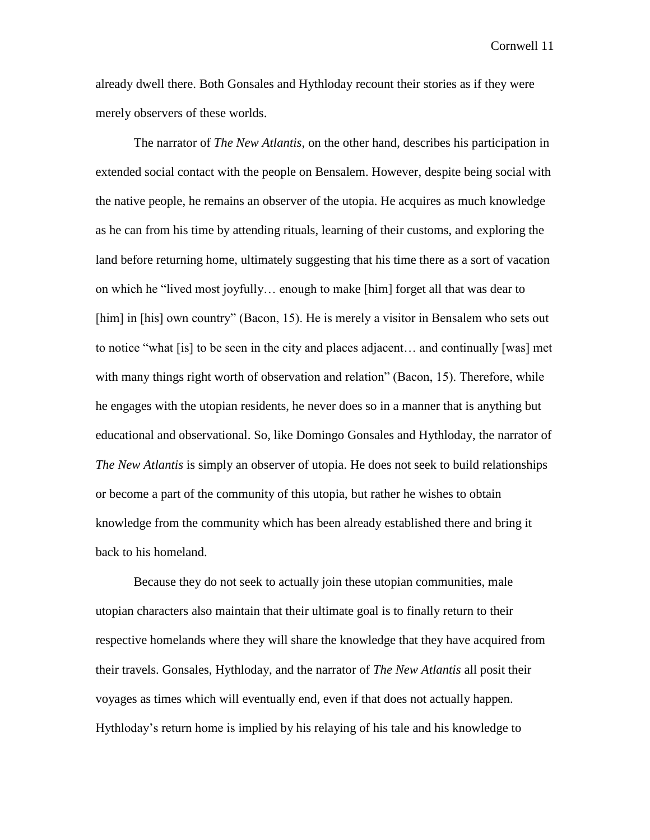already dwell there. Both Gonsales and Hythloday recount their stories as if they were merely observers of these worlds.

The narrator of *The New Atlantis*, on the other hand, describes his participation in extended social contact with the people on Bensalem. However, despite being social with the native people, he remains an observer of the utopia. He acquires as much knowledge as he can from his time by attending rituals, learning of their customs, and exploring the land before returning home, ultimately suggesting that his time there as a sort of vacation on which he "lived most joyfully… enough to make [him] forget all that was dear to [him] in [his] own country" (Bacon, 15). He is merely a visitor in Bensalem who sets out to notice "what [is] to be seen in the city and places adjacent… and continually [was] met with many things right worth of observation and relation" (Bacon, 15). Therefore, while he engages with the utopian residents, he never does so in a manner that is anything but educational and observational. So, like Domingo Gonsales and Hythloday, the narrator of *The New Atlantis* is simply an observer of utopia. He does not seek to build relationships or become a part of the community of this utopia, but rather he wishes to obtain knowledge from the community which has been already established there and bring it back to his homeland.

Because they do not seek to actually join these utopian communities, male utopian characters also maintain that their ultimate goal is to finally return to their respective homelands where they will share the knowledge that they have acquired from their travels. Gonsales, Hythloday, and the narrator of *The New Atlantis* all posit their voyages as times which will eventually end, even if that does not actually happen. Hythloday's return home is implied by his relaying of his tale and his knowledge to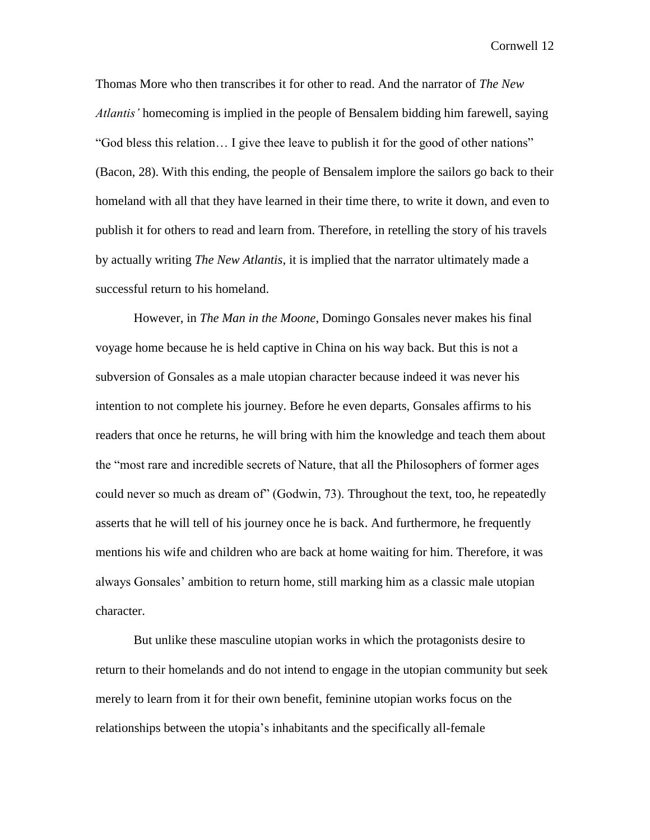Thomas More who then transcribes it for other to read. And the narrator of *The New Atlantis'* homecoming is implied in the people of Bensalem bidding him farewell, saying "God bless this relation… I give thee leave to publish it for the good of other nations" (Bacon, 28). With this ending, the people of Bensalem implore the sailors go back to their homeland with all that they have learned in their time there, to write it down, and even to publish it for others to read and learn from. Therefore, in retelling the story of his travels by actually writing *The New Atlantis*, it is implied that the narrator ultimately made a successful return to his homeland.

However, in *The Man in the Moone*, Domingo Gonsales never makes his final voyage home because he is held captive in China on his way back. But this is not a subversion of Gonsales as a male utopian character because indeed it was never his intention to not complete his journey. Before he even departs, Gonsales affirms to his readers that once he returns, he will bring with him the knowledge and teach them about the "most rare and incredible secrets of Nature, that all the Philosophers of former ages could never so much as dream of" (Godwin, 73). Throughout the text, too, he repeatedly asserts that he will tell of his journey once he is back. And furthermore, he frequently mentions his wife and children who are back at home waiting for him. Therefore, it was always Gonsales' ambition to return home, still marking him as a classic male utopian character.

But unlike these masculine utopian works in which the protagonists desire to return to their homelands and do not intend to engage in the utopian community but seek merely to learn from it for their own benefit, feminine utopian works focus on the relationships between the utopia's inhabitants and the specifically all-female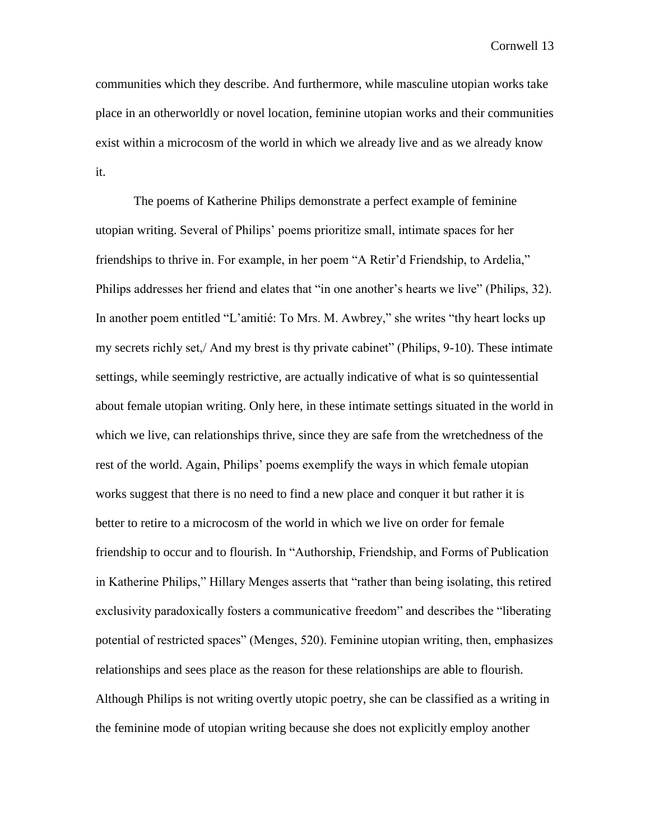communities which they describe. And furthermore, while masculine utopian works take place in an otherworldly or novel location, feminine utopian works and their communities exist within a microcosm of the world in which we already live and as we already know it.

The poems of Katherine Philips demonstrate a perfect example of feminine utopian writing. Several of Philips' poems prioritize small, intimate spaces for her friendships to thrive in. For example, in her poem "A Retir'd Friendship, to Ardelia," Philips addresses her friend and elates that "in one another's hearts we live" (Philips, 32). In another poem entitled "L'amitié: To Mrs. M. Awbrey," she writes "thy heart locks up my secrets richly set,/ And my brest is thy private cabinet" (Philips, 9-10). These intimate settings, while seemingly restrictive, are actually indicative of what is so quintessential about female utopian writing. Only here, in these intimate settings situated in the world in which we live, can relationships thrive, since they are safe from the wretchedness of the rest of the world. Again, Philips' poems exemplify the ways in which female utopian works suggest that there is no need to find a new place and conquer it but rather it is better to retire to a microcosm of the world in which we live on order for female friendship to occur and to flourish. In "Authorship, Friendship, and Forms of Publication in Katherine Philips," Hillary Menges asserts that "rather than being isolating, this retired exclusivity paradoxically fosters a communicative freedom" and describes the "liberating potential of restricted spaces" (Menges, 520). Feminine utopian writing, then, emphasizes relationships and sees place as the reason for these relationships are able to flourish. Although Philips is not writing overtly utopic poetry, she can be classified as a writing in the feminine mode of utopian writing because she does not explicitly employ another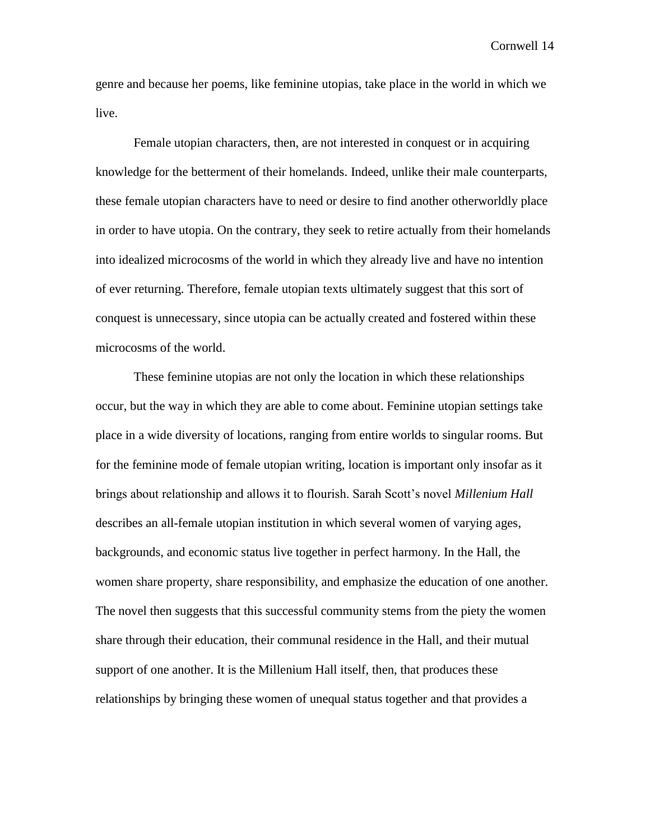genre and because her poems, like feminine utopias, take place in the world in which we live.

Female utopian characters, then, are not interested in conquest or in acquiring knowledge for the betterment of their homelands. Indeed, unlike their male counterparts, these female utopian characters have to need or desire to find another otherworldly place in order to have utopia. On the contrary, they seek to retire actually from their homelands into idealized microcosms of the world in which they already live and have no intention of ever returning. Therefore, female utopian texts ultimately suggest that this sort of conquest is unnecessary, since utopia can be actually created and fostered within these microcosms of the world.

These feminine utopias are not only the location in which these relationships occur, but the way in which they are able to come about. Feminine utopian settings take place in a wide diversity of locations, ranging from entire worlds to singular rooms. But for the feminine mode of female utopian writing, location is important only insofar as it brings about relationship and allows it to flourish. Sarah Scott's novel *Millenium Hall*  describes an all-female utopian institution in which several women of varying ages, backgrounds, and economic status live together in perfect harmony. In the Hall, the women share property, share responsibility, and emphasize the education of one another. The novel then suggests that this successful community stems from the piety the women share through their education, their communal residence in the Hall, and their mutual support of one another. It is the Millenium Hall itself, then, that produces these relationships by bringing these women of unequal status together and that provides a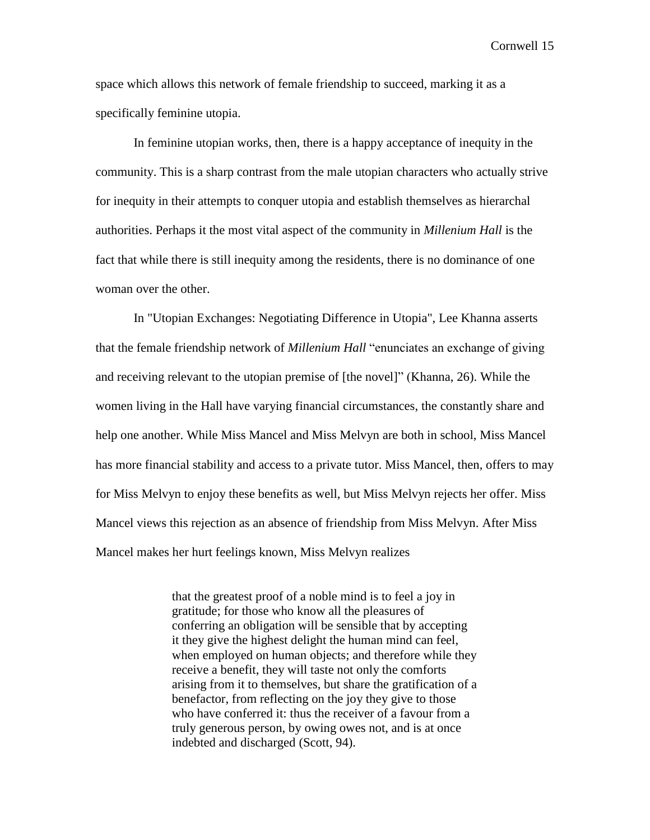space which allows this network of female friendship to succeed, marking it as a specifically feminine utopia.

In feminine utopian works, then, there is a happy acceptance of inequity in the community. This is a sharp contrast from the male utopian characters who actually strive for inequity in their attempts to conquer utopia and establish themselves as hierarchal authorities. Perhaps it the most vital aspect of the community in *Millenium Hall* is the fact that while there is still inequity among the residents, there is no dominance of one woman over the other.

In "Utopian Exchanges: Negotiating Difference in Utopia", Lee Khanna asserts that the female friendship network of *Millenium Hall* "enunciates an exchange of giving and receiving relevant to the utopian premise of [the novel]" (Khanna, 26). While the women living in the Hall have varying financial circumstances, the constantly share and help one another. While Miss Mancel and Miss Melvyn are both in school, Miss Mancel has more financial stability and access to a private tutor. Miss Mancel, then, offers to may for Miss Melvyn to enjoy these benefits as well, but Miss Melvyn rejects her offer. Miss Mancel views this rejection as an absence of friendship from Miss Melvyn. After Miss Mancel makes her hurt feelings known, Miss Melvyn realizes

> that the greatest proof of a noble mind is to feel a joy in gratitude; for those who know all the pleasures of conferring an obligation will be sensible that by accepting it they give the highest delight the human mind can feel, when employed on human objects; and therefore while they receive a benefit, they will taste not only the comforts arising from it to themselves, but share the gratification of a benefactor, from reflecting on the joy they give to those who have conferred it: thus the receiver of a favour from a truly generous person, by owing owes not, and is at once indebted and discharged (Scott, 94).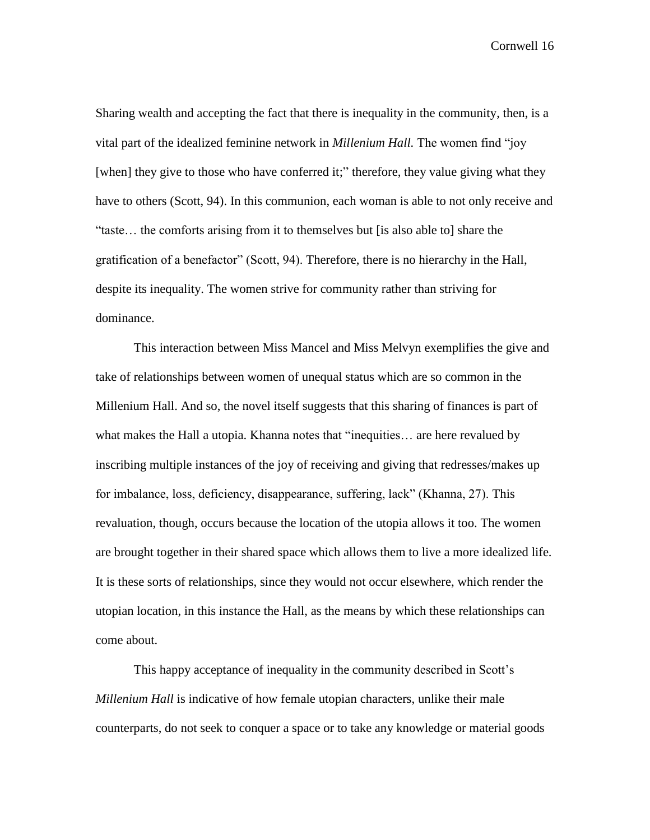Sharing wealth and accepting the fact that there is inequality in the community, then, is a vital part of the idealized feminine network in *Millenium Hall.* The women find "joy [when] they give to those who have conferred it;" therefore, they value giving what they have to others (Scott, 94). In this communion, each woman is able to not only receive and "taste… the comforts arising from it to themselves but [is also able to] share the gratification of a benefactor" (Scott, 94). Therefore, there is no hierarchy in the Hall, despite its inequality. The women strive for community rather than striving for dominance.

This interaction between Miss Mancel and Miss Melvyn exemplifies the give and take of relationships between women of unequal status which are so common in the Millenium Hall. And so, the novel itself suggests that this sharing of finances is part of what makes the Hall a utopia. Khanna notes that "inequities... are here revalued by inscribing multiple instances of the joy of receiving and giving that redresses/makes up for imbalance, loss, deficiency, disappearance, suffering, lack" (Khanna, 27). This revaluation, though, occurs because the location of the utopia allows it too. The women are brought together in their shared space which allows them to live a more idealized life. It is these sorts of relationships, since they would not occur elsewhere, which render the utopian location, in this instance the Hall, as the means by which these relationships can come about.

This happy acceptance of inequality in the community described in Scott's *Millenium Hall* is indicative of how female utopian characters, unlike their male counterparts, do not seek to conquer a space or to take any knowledge or material goods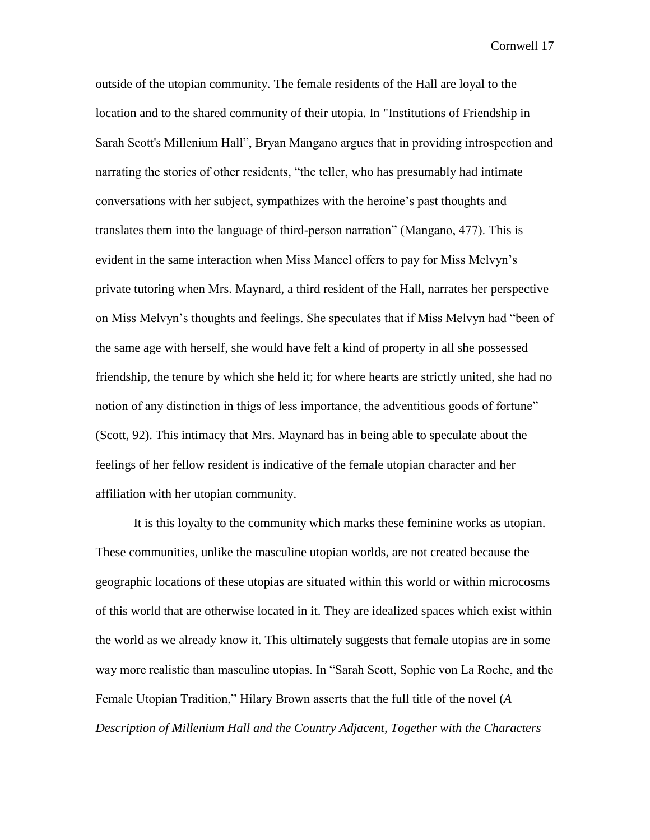outside of the utopian community. The female residents of the Hall are loyal to the location and to the shared community of their utopia. In "Institutions of Friendship in Sarah Scott's Millenium Hall", Bryan Mangano argues that in providing introspection and narrating the stories of other residents, "the teller, who has presumably had intimate conversations with her subject, sympathizes with the heroine's past thoughts and translates them into the language of third-person narration" (Mangano, 477). This is evident in the same interaction when Miss Mancel offers to pay for Miss Melvyn's private tutoring when Mrs. Maynard, a third resident of the Hall, narrates her perspective on Miss Melvyn's thoughts and feelings. She speculates that if Miss Melvyn had "been of the same age with herself, she would have felt a kind of property in all she possessed friendship, the tenure by which she held it; for where hearts are strictly united, she had no notion of any distinction in thigs of less importance, the adventitious goods of fortune" (Scott, 92). This intimacy that Mrs. Maynard has in being able to speculate about the feelings of her fellow resident is indicative of the female utopian character and her affiliation with her utopian community.

It is this loyalty to the community which marks these feminine works as utopian. These communities, unlike the masculine utopian worlds, are not created because the geographic locations of these utopias are situated within this world or within microcosms of this world that are otherwise located in it. They are idealized spaces which exist within the world as we already know it. This ultimately suggests that female utopias are in some way more realistic than masculine utopias. In "Sarah Scott, Sophie von La Roche, and the Female Utopian Tradition," Hilary Brown asserts that the full title of the novel (*A Description of Millenium Hall and the Country Adjacent, Together with the Characters*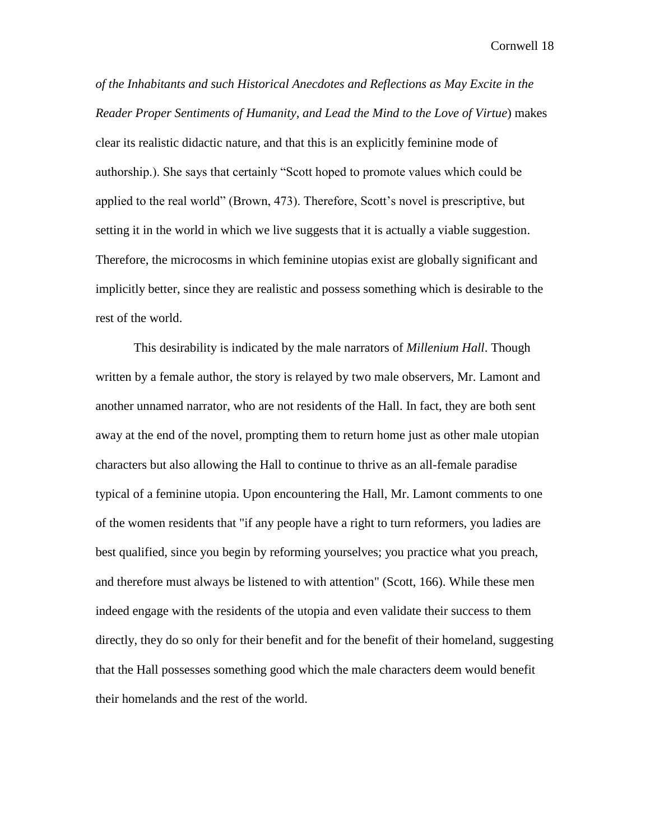*of the Inhabitants and such Historical Anecdotes and Reflections as May Excite in the Reader Proper Sentiments of Humanity, and Lead the Mind to the Love of Virtue*) makes clear its realistic didactic nature, and that this is an explicitly feminine mode of authorship.). She says that certainly "Scott hoped to promote values which could be applied to the real world" (Brown, 473). Therefore, Scott's novel is prescriptive, but setting it in the world in which we live suggests that it is actually a viable suggestion. Therefore, the microcosms in which feminine utopias exist are globally significant and implicitly better, since they are realistic and possess something which is desirable to the rest of the world.

This desirability is indicated by the male narrators of *Millenium Hall*. Though written by a female author, the story is relayed by two male observers, Mr. Lamont and another unnamed narrator, who are not residents of the Hall. In fact, they are both sent away at the end of the novel, prompting them to return home just as other male utopian characters but also allowing the Hall to continue to thrive as an all-female paradise typical of a feminine utopia. Upon encountering the Hall, Mr. Lamont comments to one of the women residents that "if any people have a right to turn reformers, you ladies are best qualified, since you begin by reforming yourselves; you practice what you preach, and therefore must always be listened to with attention" (Scott, 166). While these men indeed engage with the residents of the utopia and even validate their success to them directly, they do so only for their benefit and for the benefit of their homeland, suggesting that the Hall possesses something good which the male characters deem would benefit their homelands and the rest of the world.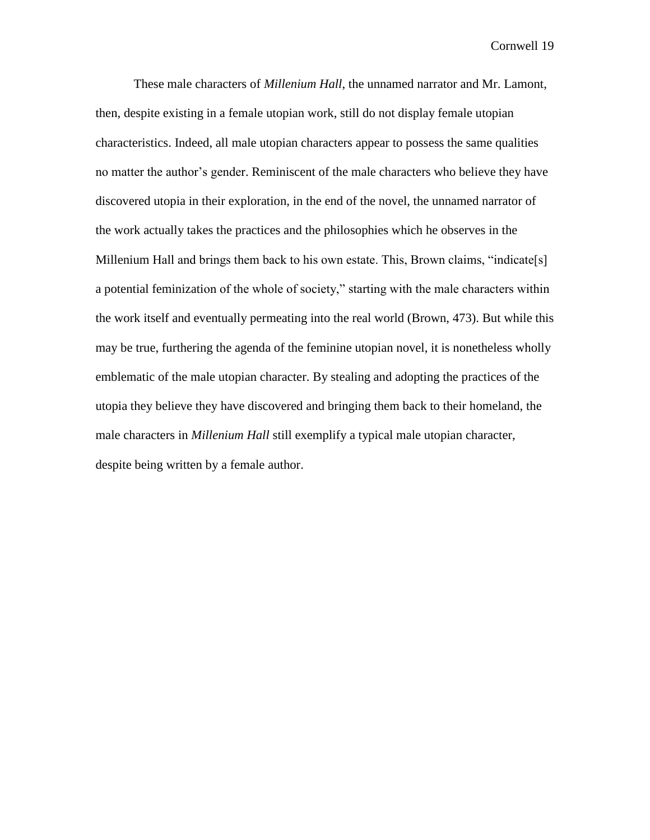These male characters of *Millenium Hall*, the unnamed narrator and Mr. Lamont, then, despite existing in a female utopian work, still do not display female utopian characteristics. Indeed, all male utopian characters appear to possess the same qualities no matter the author's gender. Reminiscent of the male characters who believe they have discovered utopia in their exploration, in the end of the novel, the unnamed narrator of the work actually takes the practices and the philosophies which he observes in the Millenium Hall and brings them back to his own estate. This, Brown claims, "indicate[s] a potential feminization of the whole of society," starting with the male characters within the work itself and eventually permeating into the real world (Brown, 473). But while this may be true, furthering the agenda of the feminine utopian novel, it is nonetheless wholly emblematic of the male utopian character. By stealing and adopting the practices of the utopia they believe they have discovered and bringing them back to their homeland, the male characters in *Millenium Hall* still exemplify a typical male utopian character, despite being written by a female author.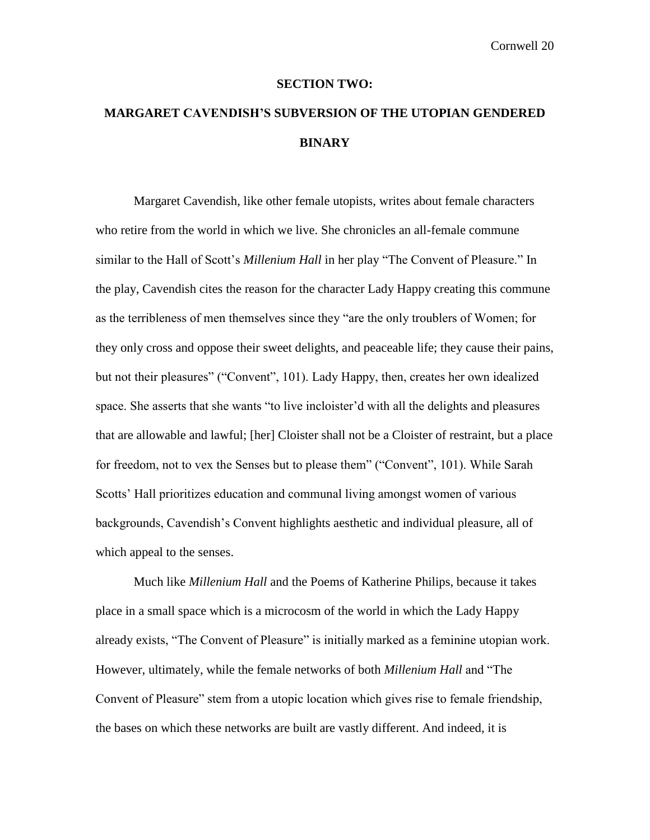#### **SECTION TWO:**

### **MARGARET CAVENDISH'S SUBVERSION OF THE UTOPIAN GENDERED BINARY**

Margaret Cavendish, like other female utopists, writes about female characters who retire from the world in which we live. She chronicles an all-female commune similar to the Hall of Scott's *Millenium Hall* in her play "The Convent of Pleasure." In the play, Cavendish cites the reason for the character Lady Happy creating this commune as the terribleness of men themselves since they "are the only troublers of Women; for they only cross and oppose their sweet delights, and peaceable life; they cause their pains, but not their pleasures" ("Convent", 101). Lady Happy, then, creates her own idealized space. She asserts that she wants "to live incloister'd with all the delights and pleasures that are allowable and lawful; [her] Cloister shall not be a Cloister of restraint, but a place for freedom, not to vex the Senses but to please them" ("Convent", 101). While Sarah Scotts' Hall prioritizes education and communal living amongst women of various backgrounds, Cavendish's Convent highlights aesthetic and individual pleasure, all of which appeal to the senses.

Much like *Millenium Hall* and the Poems of Katherine Philips, because it takes place in a small space which is a microcosm of the world in which the Lady Happy already exists, "The Convent of Pleasure" is initially marked as a feminine utopian work. However, ultimately, while the female networks of both *Millenium Hall* and "The Convent of Pleasure" stem from a utopic location which gives rise to female friendship, the bases on which these networks are built are vastly different. And indeed, it is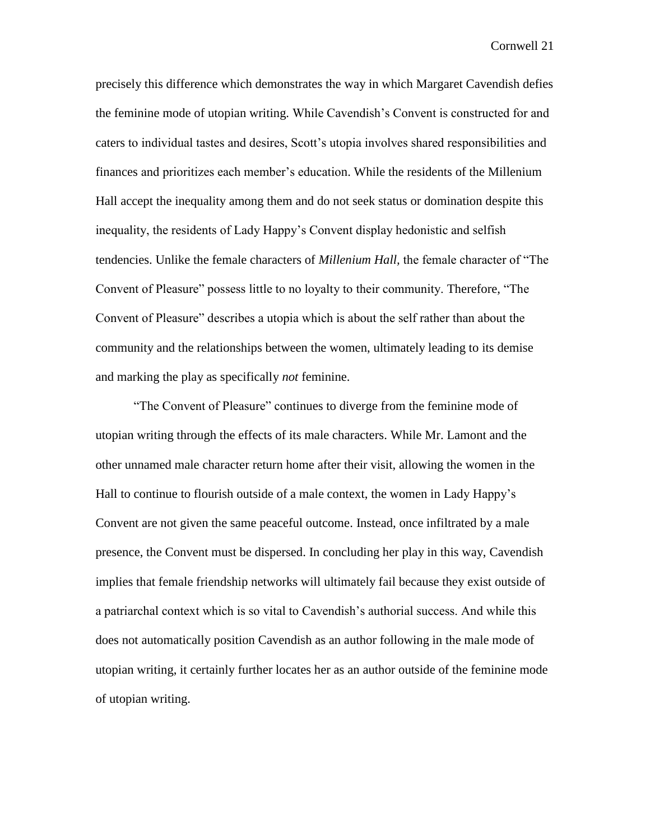precisely this difference which demonstrates the way in which Margaret Cavendish defies the feminine mode of utopian writing. While Cavendish's Convent is constructed for and caters to individual tastes and desires, Scott's utopia involves shared responsibilities and finances and prioritizes each member's education. While the residents of the Millenium Hall accept the inequality among them and do not seek status or domination despite this inequality, the residents of Lady Happy's Convent display hedonistic and selfish tendencies. Unlike the female characters of *Millenium Hall,* the female character of "The Convent of Pleasure" possess little to no loyalty to their community. Therefore, "The Convent of Pleasure" describes a utopia which is about the self rather than about the community and the relationships between the women, ultimately leading to its demise and marking the play as specifically *not* feminine.

"The Convent of Pleasure" continues to diverge from the feminine mode of utopian writing through the effects of its male characters. While Mr. Lamont and the other unnamed male character return home after their visit, allowing the women in the Hall to continue to flourish outside of a male context, the women in Lady Happy's Convent are not given the same peaceful outcome. Instead, once infiltrated by a male presence, the Convent must be dispersed. In concluding her play in this way, Cavendish implies that female friendship networks will ultimately fail because they exist outside of a patriarchal context which is so vital to Cavendish's authorial success. And while this does not automatically position Cavendish as an author following in the male mode of utopian writing, it certainly further locates her as an author outside of the feminine mode of utopian writing.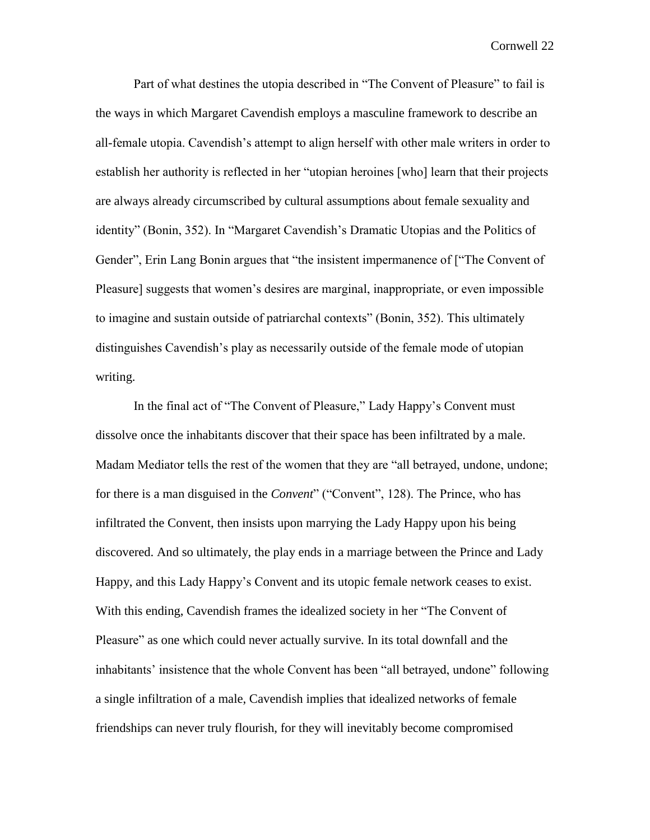Part of what destines the utopia described in "The Convent of Pleasure" to fail is the ways in which Margaret Cavendish employs a masculine framework to describe an all-female utopia. Cavendish's attempt to align herself with other male writers in order to establish her authority is reflected in her "utopian heroines [who] learn that their projects are always already circumscribed by cultural assumptions about female sexuality and identity" (Bonin, 352). In "Margaret Cavendish's Dramatic Utopias and the Politics of Gender", Erin Lang Bonin argues that "the insistent impermanence of ["The Convent of Pleasure] suggests that women's desires are marginal, inappropriate, or even impossible to imagine and sustain outside of patriarchal contexts" (Bonin, 352). This ultimately distinguishes Cavendish's play as necessarily outside of the female mode of utopian writing.

In the final act of "The Convent of Pleasure," Lady Happy's Convent must dissolve once the inhabitants discover that their space has been infiltrated by a male. Madam Mediator tells the rest of the women that they are "all betrayed, undone, undone; for there is a man disguised in the *Convent*" ("Convent", 128). The Prince, who has infiltrated the Convent, then insists upon marrying the Lady Happy upon his being discovered. And so ultimately, the play ends in a marriage between the Prince and Lady Happy, and this Lady Happy's Convent and its utopic female network ceases to exist. With this ending, Cavendish frames the idealized society in her "The Convent of Pleasure" as one which could never actually survive. In its total downfall and the inhabitants' insistence that the whole Convent has been "all betrayed, undone" following a single infiltration of a male, Cavendish implies that idealized networks of female friendships can never truly flourish, for they will inevitably become compromised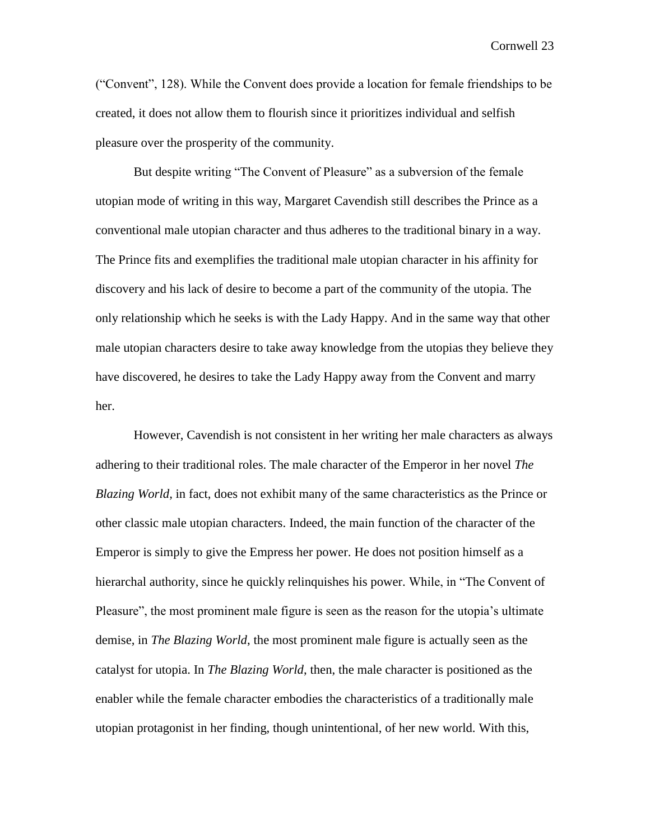("Convent", 128). While the Convent does provide a location for female friendships to be created, it does not allow them to flourish since it prioritizes individual and selfish pleasure over the prosperity of the community.

But despite writing "The Convent of Pleasure" as a subversion of the female utopian mode of writing in this way, Margaret Cavendish still describes the Prince as a conventional male utopian character and thus adheres to the traditional binary in a way. The Prince fits and exemplifies the traditional male utopian character in his affinity for discovery and his lack of desire to become a part of the community of the utopia. The only relationship which he seeks is with the Lady Happy. And in the same way that other male utopian characters desire to take away knowledge from the utopias they believe they have discovered, he desires to take the Lady Happy away from the Convent and marry her.

However, Cavendish is not consistent in her writing her male characters as always adhering to their traditional roles. The male character of the Emperor in her novel *The Blazing World,* in fact, does not exhibit many of the same characteristics as the Prince or other classic male utopian characters. Indeed, the main function of the character of the Emperor is simply to give the Empress her power. He does not position himself as a hierarchal authority, since he quickly relinquishes his power. While, in "The Convent of Pleasure", the most prominent male figure is seen as the reason for the utopia's ultimate demise, in *The Blazing World*, the most prominent male figure is actually seen as the catalyst for utopia. In *The Blazing World*, then, the male character is positioned as the enabler while the female character embodies the characteristics of a traditionally male utopian protagonist in her finding, though unintentional, of her new world. With this,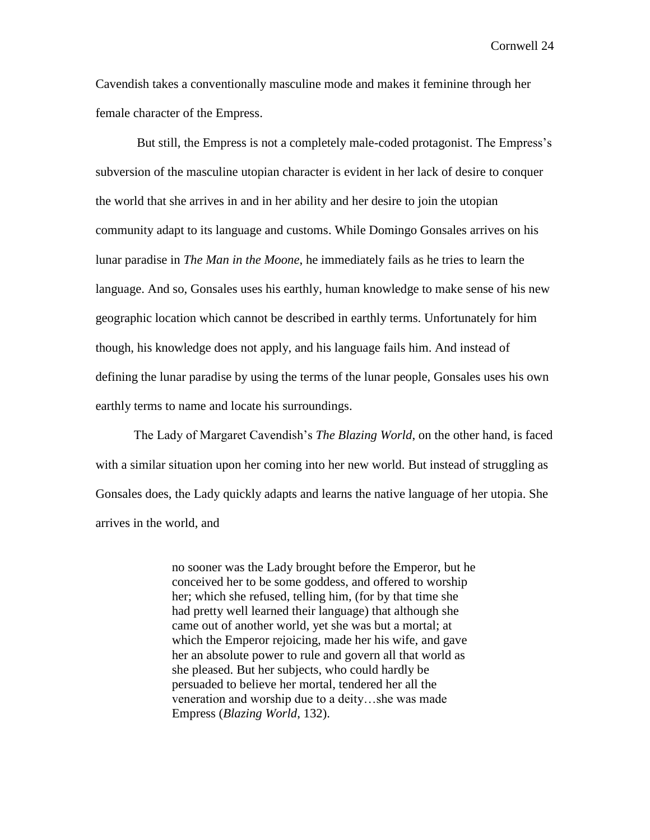Cavendish takes a conventionally masculine mode and makes it feminine through her female character of the Empress.

But still, the Empress is not a completely male-coded protagonist. The Empress's subversion of the masculine utopian character is evident in her lack of desire to conquer the world that she arrives in and in her ability and her desire to join the utopian community adapt to its language and customs. While Domingo Gonsales arrives on his lunar paradise in *The Man in the Moone*, he immediately fails as he tries to learn the language. And so, Gonsales uses his earthly, human knowledge to make sense of his new geographic location which cannot be described in earthly terms. Unfortunately for him though, his knowledge does not apply, and his language fails him. And instead of defining the lunar paradise by using the terms of the lunar people, Gonsales uses his own earthly terms to name and locate his surroundings.

The Lady of Margaret Cavendish's *The Blazing World*, on the other hand, is faced with a similar situation upon her coming into her new world. But instead of struggling as Gonsales does, the Lady quickly adapts and learns the native language of her utopia. She arrives in the world, and

> no sooner was the Lady brought before the Emperor, but he conceived her to be some goddess, and offered to worship her; which she refused, telling him, (for by that time she had pretty well learned their language) that although she came out of another world, yet she was but a mortal; at which the Emperor rejoicing, made her his wife, and gave her an absolute power to rule and govern all that world as she pleased. But her subjects, who could hardly be persuaded to believe her mortal, tendered her all the veneration and worship due to a deity…she was made Empress (*Blazing World*, 132).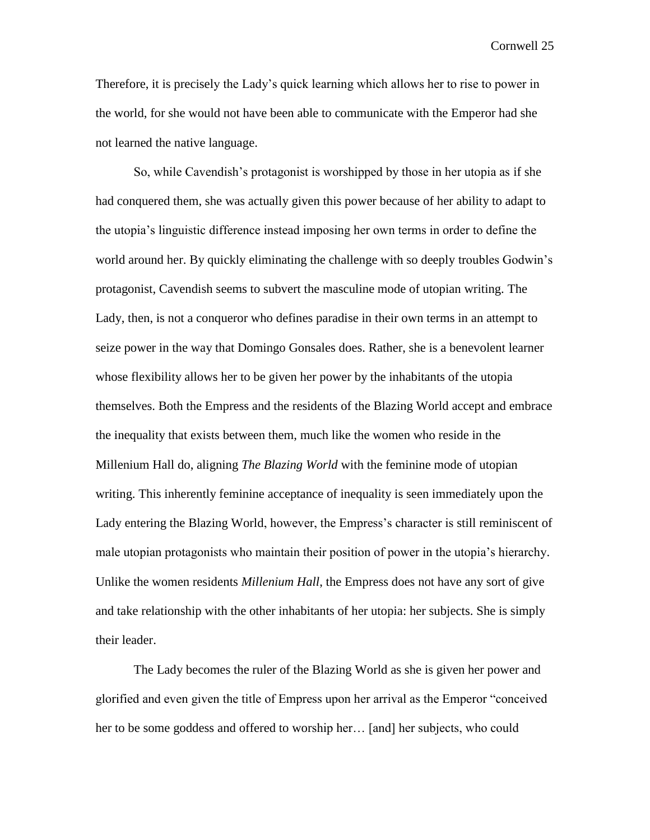Therefore, it is precisely the Lady's quick learning which allows her to rise to power in the world, for she would not have been able to communicate with the Emperor had she not learned the native language.

So, while Cavendish's protagonist is worshipped by those in her utopia as if she had conquered them, she was actually given this power because of her ability to adapt to the utopia's linguistic difference instead imposing her own terms in order to define the world around her. By quickly eliminating the challenge with so deeply troubles Godwin's protagonist, Cavendish seems to subvert the masculine mode of utopian writing. The Lady, then, is not a conqueror who defines paradise in their own terms in an attempt to seize power in the way that Domingo Gonsales does. Rather, she is a benevolent learner whose flexibility allows her to be given her power by the inhabitants of the utopia themselves. Both the Empress and the residents of the Blazing World accept and embrace the inequality that exists between them, much like the women who reside in the Millenium Hall do, aligning *The Blazing World* with the feminine mode of utopian writing. This inherently feminine acceptance of inequality is seen immediately upon the Lady entering the Blazing World, however, the Empress's character is still reminiscent of male utopian protagonists who maintain their position of power in the utopia's hierarchy. Unlike the women residents *Millenium Hall*, the Empress does not have any sort of give and take relationship with the other inhabitants of her utopia: her subjects. She is simply their leader.

The Lady becomes the ruler of the Blazing World as she is given her power and glorified and even given the title of Empress upon her arrival as the Emperor "conceived her to be some goddess and offered to worship her… [and] her subjects, who could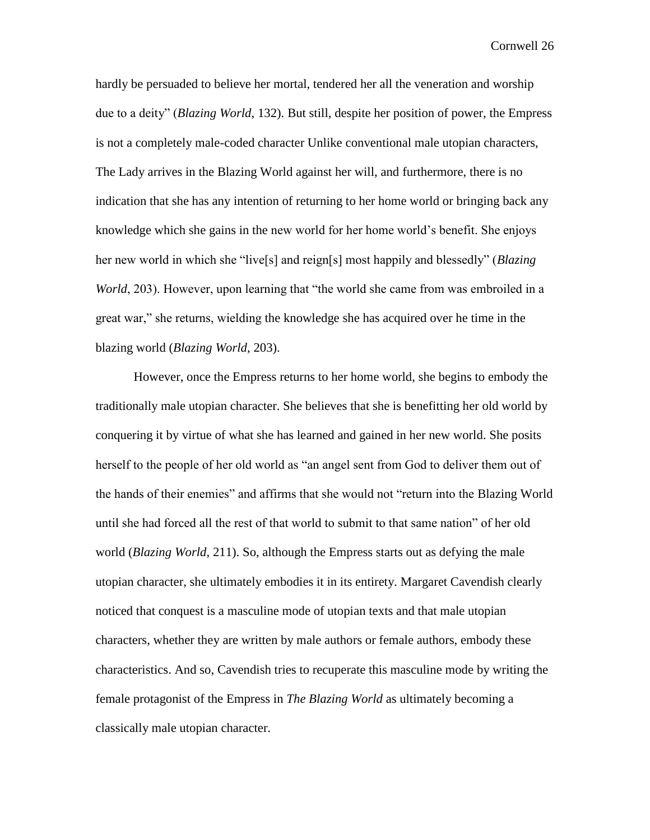hardly be persuaded to believe her mortal, tendered her all the veneration and worship due to a deity" (*Blazing World*, 132). But still, despite her position of power, the Empress is not a completely male-coded character Unlike conventional male utopian characters, The Lady arrives in the Blazing World against her will, and furthermore, there is no indication that she has any intention of returning to her home world or bringing back any knowledge which she gains in the new world for her home world's benefit. She enjoys her new world in which she "live[s] and reign[s] most happily and blessedly" (*Blazing World*, 203). However, upon learning that "the world she came from was embroiled in a great war," she returns, wielding the knowledge she has acquired over he time in the blazing world (*Blazing World*, 203).

However, once the Empress returns to her home world, she begins to embody the traditionally male utopian character. She believes that she is benefitting her old world by conquering it by virtue of what she has learned and gained in her new world. She posits herself to the people of her old world as "an angel sent from God to deliver them out of the hands of their enemies" and affirms that she would not "return into the Blazing World until she had forced all the rest of that world to submit to that same nation" of her old world (*Blazing World*, 211). So, although the Empress starts out as defying the male utopian character, she ultimately embodies it in its entirety. Margaret Cavendish clearly noticed that conquest is a masculine mode of utopian texts and that male utopian characters, whether they are written by male authors or female authors, embody these characteristics. And so, Cavendish tries to recuperate this masculine mode by writing the female protagonist of the Empress in *The Blazing World* as ultimately becoming a classically male utopian character.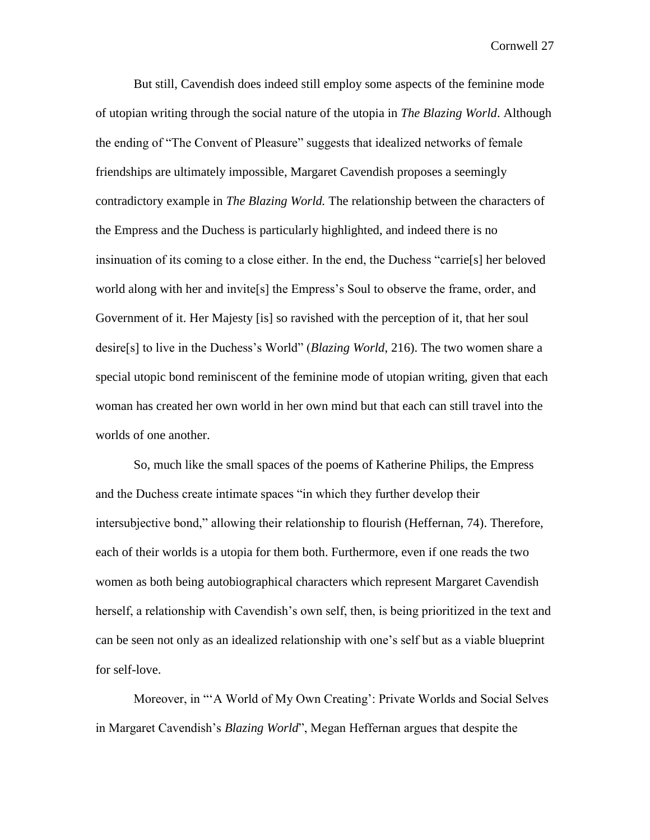But still, Cavendish does indeed still employ some aspects of the feminine mode of utopian writing through the social nature of the utopia in *The Blazing World*. Although the ending of "The Convent of Pleasure" suggests that idealized networks of female friendships are ultimately impossible, Margaret Cavendish proposes a seemingly contradictory example in *The Blazing World.* The relationship between the characters of the Empress and the Duchess is particularly highlighted, and indeed there is no insinuation of its coming to a close either. In the end, the Duchess "carrie[s] her beloved world along with her and invite[s] the Empress's Soul to observe the frame, order, and Government of it. Her Majesty [is] so ravished with the perception of it, that her soul desire[s] to live in the Duchess's World" (*Blazing World*, 216). The two women share a special utopic bond reminiscent of the feminine mode of utopian writing, given that each woman has created her own world in her own mind but that each can still travel into the worlds of one another.

So, much like the small spaces of the poems of Katherine Philips, the Empress and the Duchess create intimate spaces "in which they further develop their intersubjective bond," allowing their relationship to flourish (Heffernan, 74). Therefore, each of their worlds is a utopia for them both. Furthermore, even if one reads the two women as both being autobiographical characters which represent Margaret Cavendish herself, a relationship with Cavendish's own self, then, is being prioritized in the text and can be seen not only as an idealized relationship with one's self but as a viable blueprint for self-love.

Moreover, in "'A World of My Own Creating': Private Worlds and Social Selves in Margaret Cavendish's *Blazing World*", Megan Heffernan argues that despite the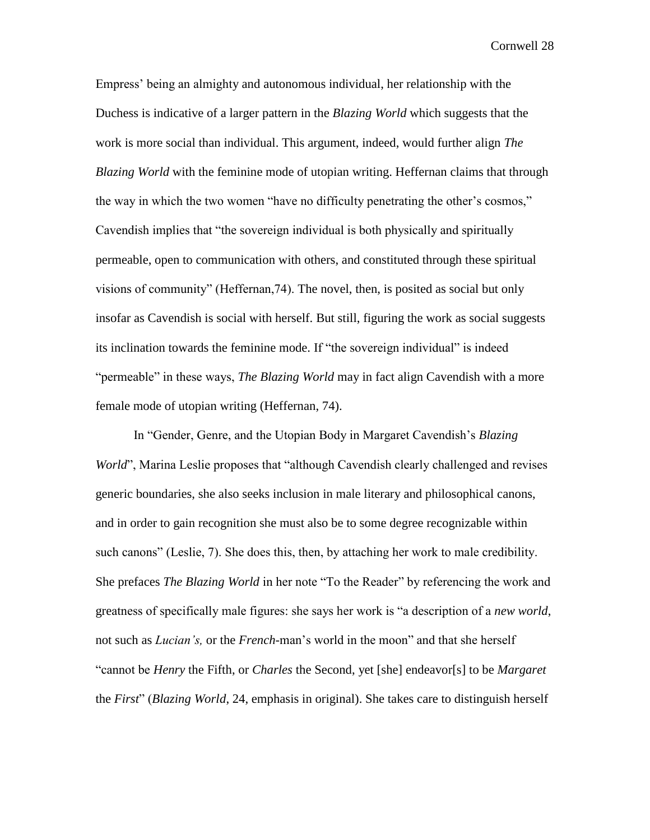Empress' being an almighty and autonomous individual, her relationship with the Duchess is indicative of a larger pattern in the *Blazing World* which suggests that the work is more social than individual. This argument, indeed, would further align *The Blazing World* with the feminine mode of utopian writing. Heffernan claims that through the way in which the two women "have no difficulty penetrating the other's cosmos," Cavendish implies that "the sovereign individual is both physically and spiritually permeable, open to communication with others, and constituted through these spiritual visions of community" (Heffernan,74). The novel, then, is posited as social but only insofar as Cavendish is social with herself. But still, figuring the work as social suggests its inclination towards the feminine mode. If "the sovereign individual" is indeed "permeable" in these ways, *The Blazing World* may in fact align Cavendish with a more female mode of utopian writing (Heffernan, 74).

In "Gender, Genre, and the Utopian Body in Margaret Cavendish's *Blazing World*", Marina Leslie proposes that "although Cavendish clearly challenged and revises generic boundaries, she also seeks inclusion in male literary and philosophical canons, and in order to gain recognition she must also be to some degree recognizable within such canons" (Leslie, 7). She does this, then, by attaching her work to male credibility. She prefaces *The Blazing World* in her note "To the Reader" by referencing the work and greatness of specifically male figures: she says her work is "a description of a *new world*, not such as *Lucian's,* or the *French-*man's world in the moon" and that she herself "cannot be *Henry* the Fifth, or *Charles* the Second, yet [she] endeavor[s] to be *Margaret*  the *First*" (*Blazing World*, 24, emphasis in original). She takes care to distinguish herself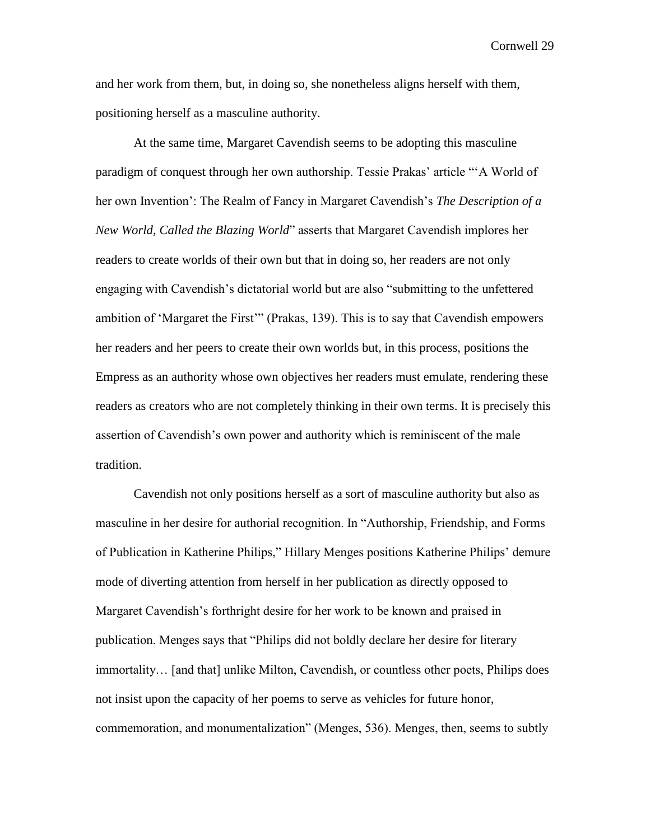and her work from them, but, in doing so, she nonetheless aligns herself with them, positioning herself as a masculine authority.

At the same time, Margaret Cavendish seems to be adopting this masculine paradigm of conquest through her own authorship. Tessie Prakas' article "'A World of her own Invention': The Realm of Fancy in Margaret Cavendish's *The Description of a New World, Called the Blazing World*" asserts that Margaret Cavendish implores her readers to create worlds of their own but that in doing so, her readers are not only engaging with Cavendish's dictatorial world but are also "submitting to the unfettered ambition of 'Margaret the First'" (Prakas, 139). This is to say that Cavendish empowers her readers and her peers to create their own worlds but, in this process, positions the Empress as an authority whose own objectives her readers must emulate, rendering these readers as creators who are not completely thinking in their own terms. It is precisely this assertion of Cavendish's own power and authority which is reminiscent of the male tradition.

Cavendish not only positions herself as a sort of masculine authority but also as masculine in her desire for authorial recognition. In "Authorship, Friendship, and Forms of Publication in Katherine Philips," Hillary Menges positions Katherine Philips' demure mode of diverting attention from herself in her publication as directly opposed to Margaret Cavendish's forthright desire for her work to be known and praised in publication. Menges says that "Philips did not boldly declare her desire for literary immortality… [and that] unlike Milton, Cavendish, or countless other poets, Philips does not insist upon the capacity of her poems to serve as vehicles for future honor, commemoration, and monumentalization" (Menges, 536). Menges, then, seems to subtly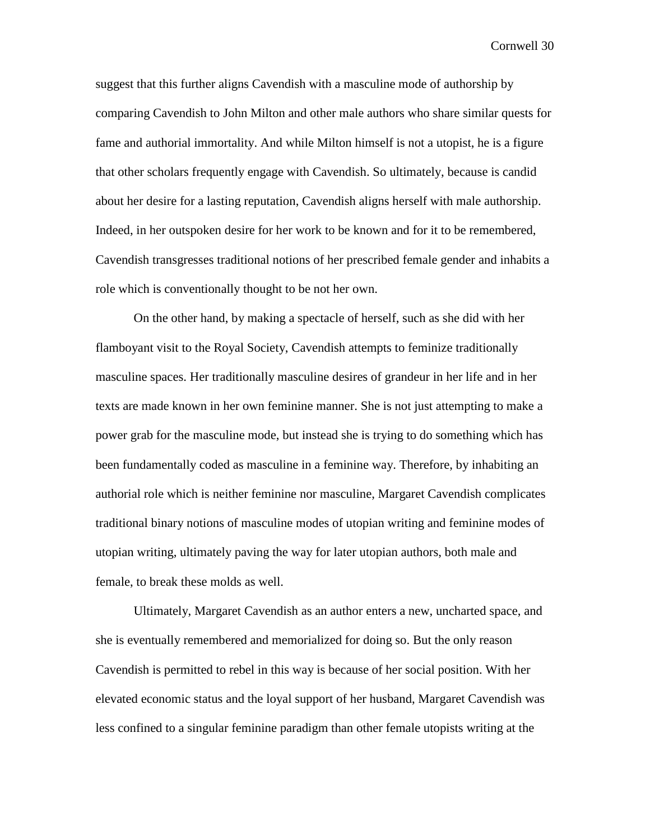suggest that this further aligns Cavendish with a masculine mode of authorship by comparing Cavendish to John Milton and other male authors who share similar quests for fame and authorial immortality. And while Milton himself is not a utopist, he is a figure that other scholars frequently engage with Cavendish. So ultimately, because is candid about her desire for a lasting reputation, Cavendish aligns herself with male authorship. Indeed, in her outspoken desire for her work to be known and for it to be remembered, Cavendish transgresses traditional notions of her prescribed female gender and inhabits a role which is conventionally thought to be not her own.

On the other hand, by making a spectacle of herself, such as she did with her flamboyant visit to the Royal Society, Cavendish attempts to feminize traditionally masculine spaces. Her traditionally masculine desires of grandeur in her life and in her texts are made known in her own feminine manner. She is not just attempting to make a power grab for the masculine mode, but instead she is trying to do something which has been fundamentally coded as masculine in a feminine way. Therefore, by inhabiting an authorial role which is neither feminine nor masculine, Margaret Cavendish complicates traditional binary notions of masculine modes of utopian writing and feminine modes of utopian writing, ultimately paving the way for later utopian authors, both male and female, to break these molds as well.

Ultimately, Margaret Cavendish as an author enters a new, uncharted space, and she is eventually remembered and memorialized for doing so. But the only reason Cavendish is permitted to rebel in this way is because of her social position. With her elevated economic status and the loyal support of her husband, Margaret Cavendish was less confined to a singular feminine paradigm than other female utopists writing at the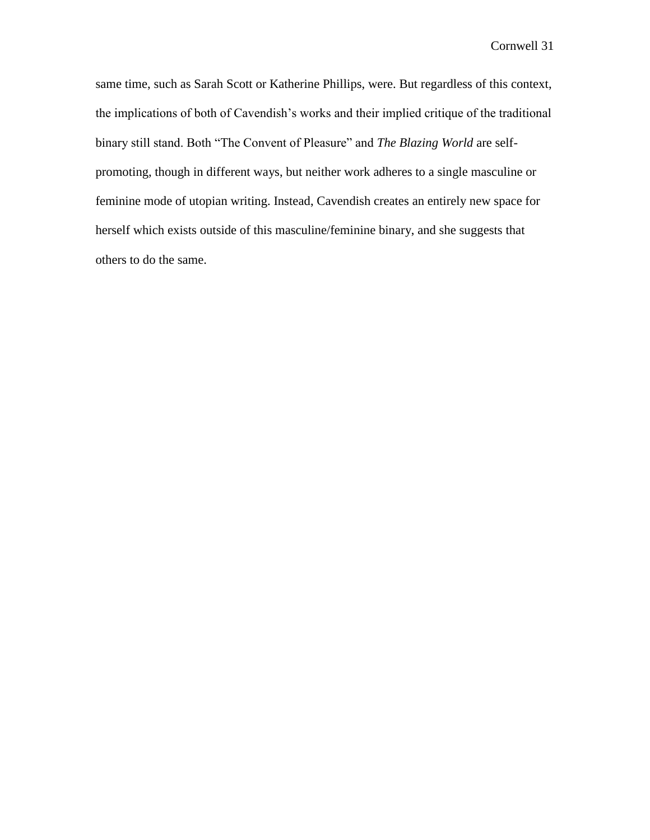same time, such as Sarah Scott or Katherine Phillips, were. But regardless of this context, the implications of both of Cavendish's works and their implied critique of the traditional binary still stand. Both "The Convent of Pleasure" and *The Blazing World* are selfpromoting, though in different ways, but neither work adheres to a single masculine or feminine mode of utopian writing. Instead, Cavendish creates an entirely new space for herself which exists outside of this masculine/feminine binary, and she suggests that others to do the same.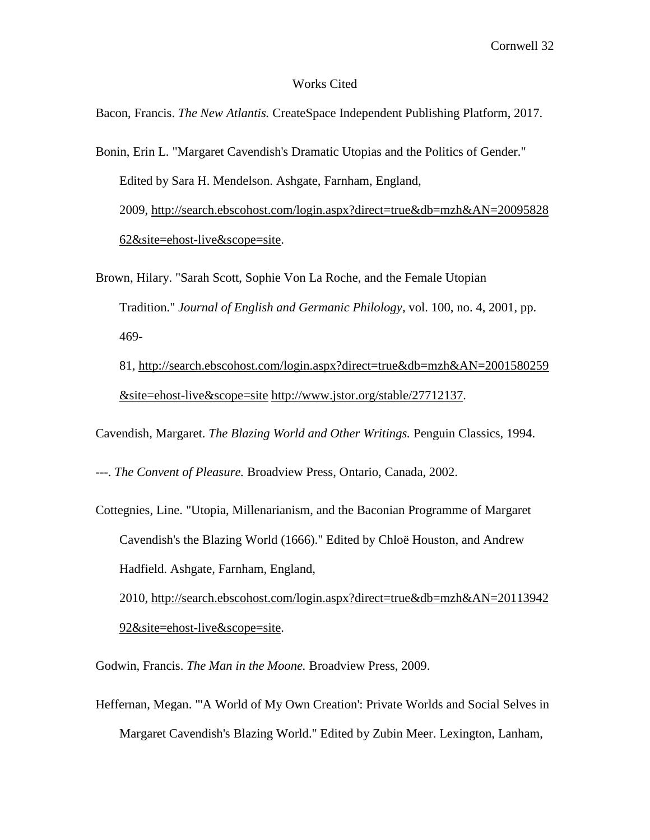#### Works Cited

Bacon, Francis. *The New Atlantis.* CreateSpace Independent Publishing Platform, 2017.

Bonin, Erin L. "Margaret Cavendish's Dramatic Utopias and the Politics of Gender." Edited by Sara H. Mendelson. Ashgate, Farnham, England, 2009, [http://search.ebscohost.com/login.aspx?direct=true&db=mzh&AN=20095828](http://search.ebscohost.com/login.aspx?direct=true&db=mzh&AN=2009582862&site=ehost-live&scope=site) [62&site=ehost-live&scope=site.](http://search.ebscohost.com/login.aspx?direct=true&db=mzh&AN=2009582862&site=ehost-live&scope=site)

Brown, Hilary. "Sarah Scott, Sophie Von La Roche, and the Female Utopian Tradition." *Journal of English and Germanic Philology*, vol. 100, no. 4, 2001, pp. 469-

81, [http://search.ebscohost.com/login.aspx?direct=true&db=mzh&AN=2001580259](http://search.ebscohost.com/login.aspx?direct=true&db=mzh&AN=2001580259&site=ehost-live&scope=site) [&site=ehost-live&scope=site](http://search.ebscohost.com/login.aspx?direct=true&db=mzh&AN=2001580259&site=ehost-live&scope=site) [http://www.jstor.org/stable/27712137.](http://www.jstor.org/stable/27712137)

Cavendish, Margaret. *The Blazing World and Other Writings.* Penguin Classics, 1994.

---. *The Convent of Pleasure.* Broadview Press, Ontario, Canada, 2002.

Cottegnies, Line. "Utopia, Millenarianism, and the Baconian Programme of Margaret Cavendish's the Blazing World (1666)." Edited by Chloë Houston, and Andrew Hadfield. Ashgate, Farnham, England,

2010, [http://search.ebscohost.com/login.aspx?direct=true&db=mzh&AN=20113942](http://search.ebscohost.com/login.aspx?direct=true&db=mzh&AN=2011394292&site=ehost-live&scope=site) [92&site=ehost-live&scope=site.](http://search.ebscohost.com/login.aspx?direct=true&db=mzh&AN=2011394292&site=ehost-live&scope=site)

Godwin, Francis. *The Man in the Moone.* Broadview Press, 2009.

Heffernan, Megan. "'A World of My Own Creation': Private Worlds and Social Selves in Margaret Cavendish's Blazing World." Edited by Zubin Meer. Lexington, Lanham,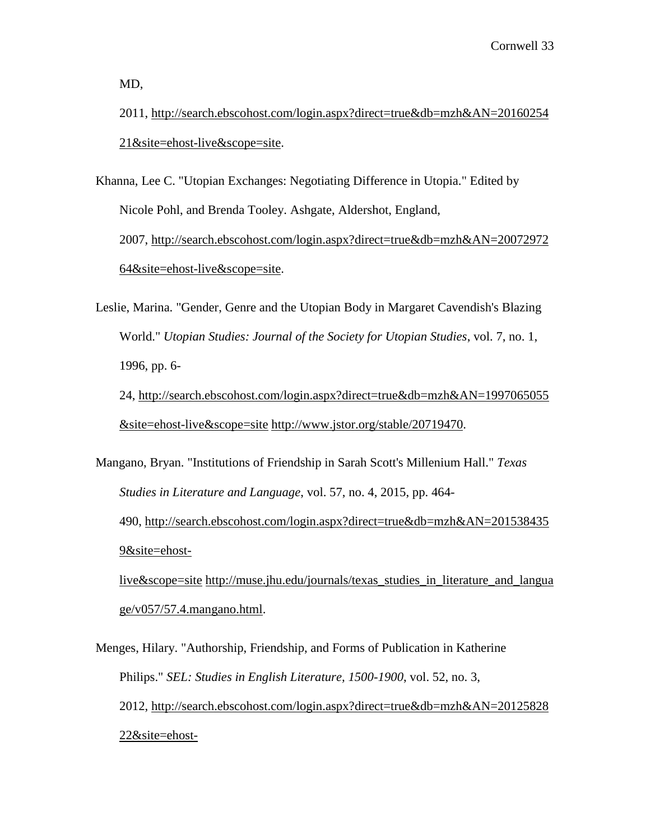MD,

2011, [http://search.ebscohost.com/login.aspx?direct=true&db=mzh&AN=20160254](http://search.ebscohost.com/login.aspx?direct=true&db=mzh&AN=2016025421&site=ehost-live&scope=site) [21&site=ehost-live&scope=site.](http://search.ebscohost.com/login.aspx?direct=true&db=mzh&AN=2016025421&site=ehost-live&scope=site)

Khanna, Lee C. "Utopian Exchanges: Negotiating Difference in Utopia." Edited by Nicole Pohl, and Brenda Tooley. Ashgate, Aldershot, England, 2007, [http://search.ebscohost.com/login.aspx?direct=true&db=mzh&AN=20072972](http://search.ebscohost.com/login.aspx?direct=true&db=mzh&AN=2007297264&site=ehost-live&scope=site) [64&site=ehost-live&scope=site.](http://search.ebscohost.com/login.aspx?direct=true&db=mzh&AN=2007297264&site=ehost-live&scope=site)

Leslie, Marina. "Gender, Genre and the Utopian Body in Margaret Cavendish's Blazing World." *Utopian Studies: Journal of the Society for Utopian Studies*, vol. 7, no. 1, 1996, pp. 6- 24, [http://search.ebscohost.com/login.aspx?direct=true&db=mzh&AN=1997065055](http://search.ebscohost.com/login.aspx?direct=true&db=mzh&AN=1997065055&site=ehost-live&scope=site)

[&site=ehost-live&scope=site](http://search.ebscohost.com/login.aspx?direct=true&db=mzh&AN=1997065055&site=ehost-live&scope=site) [http://www.jstor.org/stable/20719470.](http://www.jstor.org/stable/20719470)

Mangano, Bryan. "Institutions of Friendship in Sarah Scott's Millenium Hall." *Texas Studies in Literature and Language*, vol. 57, no. 4, 2015, pp. 464- 490, [http://search.ebscohost.com/login.aspx?direct=true&db=mzh&AN=201538435](http://search.ebscohost.com/login.aspx?direct=true&db=mzh&AN=2015384359&site=ehost-live&scope=site) [9&site=ehost](http://search.ebscohost.com/login.aspx?direct=true&db=mzh&AN=2015384359&site=ehost-live&scope=site)[live&scope=site](http://search.ebscohost.com/login.aspx?direct=true&db=mzh&AN=2015384359&site=ehost-live&scope=site) [http://muse.jhu.edu/journals/texas\\_studies\\_in\\_literature\\_and\\_langua](http://muse.jhu.edu/journals/texas_studies_in_literature_and_language/v057/57.4.mangano.html) [ge/v057/57.4.mangano.html.](http://muse.jhu.edu/journals/texas_studies_in_literature_and_language/v057/57.4.mangano.html)

Menges, Hilary. "Authorship, Friendship, and Forms of Publication in Katherine Philips." *SEL: Studies in English Literature, 1500-1900*, vol. 52, no. 3, 2012, [http://search.ebscohost.com/login.aspx?direct=true&db=mzh&AN=20125828](http://search.ebscohost.com/login.aspx?direct=true&db=mzh&AN=2012582822&site=ehost-live&scope=site) [22&site=ehost-](http://search.ebscohost.com/login.aspx?direct=true&db=mzh&AN=2012582822&site=ehost-live&scope=site)